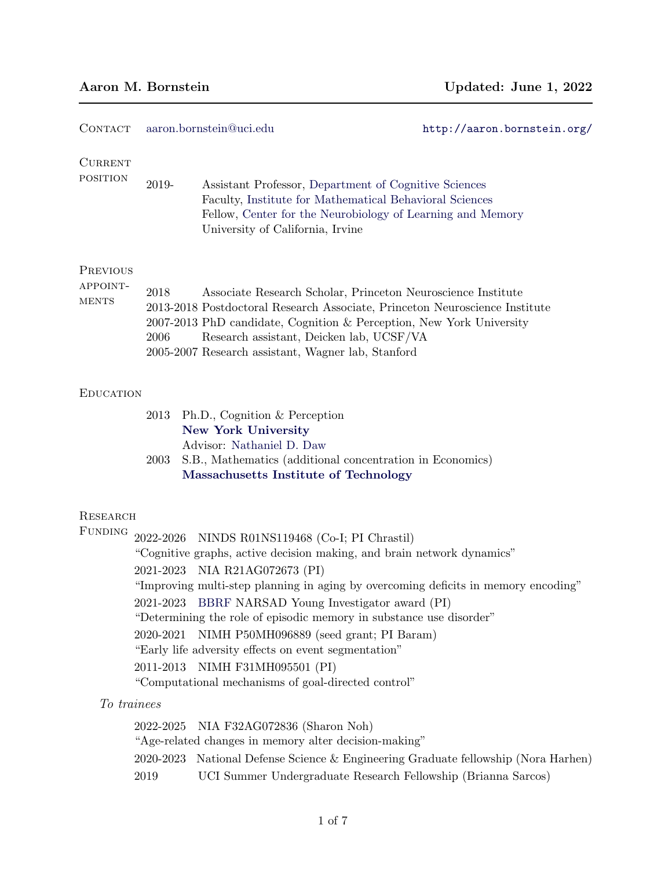| Aaron M. Bornstein |  |  |  |
|--------------------|--|--|--|
|--------------------|--|--|--|

| <b>CONTACT</b>                              |                                     | aaron.bornstein@uci.edu                                                                                                                                                                                                                                                                                                                                                                                                                                                                                                                                  | http://aaron.bornstein.org/ |
|---------------------------------------------|-------------------------------------|----------------------------------------------------------------------------------------------------------------------------------------------------------------------------------------------------------------------------------------------------------------------------------------------------------------------------------------------------------------------------------------------------------------------------------------------------------------------------------------------------------------------------------------------------------|-----------------------------|
| <b>CURRENT</b><br><b>POSITION</b>           | 2019-                               | Assistant Professor, Department of Cognitive Sciences<br>Faculty, Institute for Mathematical Behavioral Sciences<br>Fellow, Center for the Neurobiology of Learning and Memory<br>University of California, Irvine                                                                                                                                                                                                                                                                                                                                       |                             |
| <b>PREVIOUS</b><br>APPOINT-<br><b>MENTS</b> | 2018<br>2006                        | Associate Research Scholar, Princeton Neuroscience Institute<br>2013-2018 Postdoctoral Research Associate, Princeton Neuroscience Institute<br>2007-2013 PhD candidate, Cognition & Perception, New York University<br>Research assistant, Deicken lab, UCSF/VA<br>2005-2007 Research assistant, Wagner lab, Stanford                                                                                                                                                                                                                                    |                             |
| <b>EDUCATION</b>                            |                                     |                                                                                                                                                                                                                                                                                                                                                                                                                                                                                                                                                          |                             |
|                                             | 2013<br>2003                        | Ph.D., Cognition & Perception<br><b>New York University</b><br>Advisor: Nathaniel D. Daw<br>S.B., Mathematics (additional concentration in Economics)<br>Massachusetts Institute of Technology                                                                                                                                                                                                                                                                                                                                                           |                             |
| <b>RESEARCH</b><br>FUNDING                  | 2022-2026<br>2020-2021<br>2011-2013 | NINDS R01NS119468 (Co-I; PI Chrastil)<br>"Cognitive graphs, active decision making, and brain network dynamics"<br>2021-2023 NIA R21AG072673 (PI)<br>"Improving multi-step planning in aging by overcoming deficits in memory encoding"<br>2021-2023 BBRF NARSAD Young Investigator award (PI)<br>"Determining the role of episodic memory in substance use disorder"<br>NIMH P50MH096889 (seed grant; PI Baram)<br>"Early life adversity effects on event segmentation"<br>NIMH F31MH095501 (PI)<br>"Computational mechanisms of goal-directed control" |                             |
| To trainees                                 |                                     |                                                                                                                                                                                                                                                                                                                                                                                                                                                                                                                                                          |                             |
|                                             | 2022-2025<br>2020-2023<br>2019      | NIA F32AG072836 (Sharon Noh)<br>"Age-related changes in memory alter decision-making"<br>National Defense Science & Engineering Graduate fellowship (Nora Harhen)<br>UCI Summer Undergraduate Research Fellowship (Brianna Sarcos)                                                                                                                                                                                                                                                                                                                       |                             |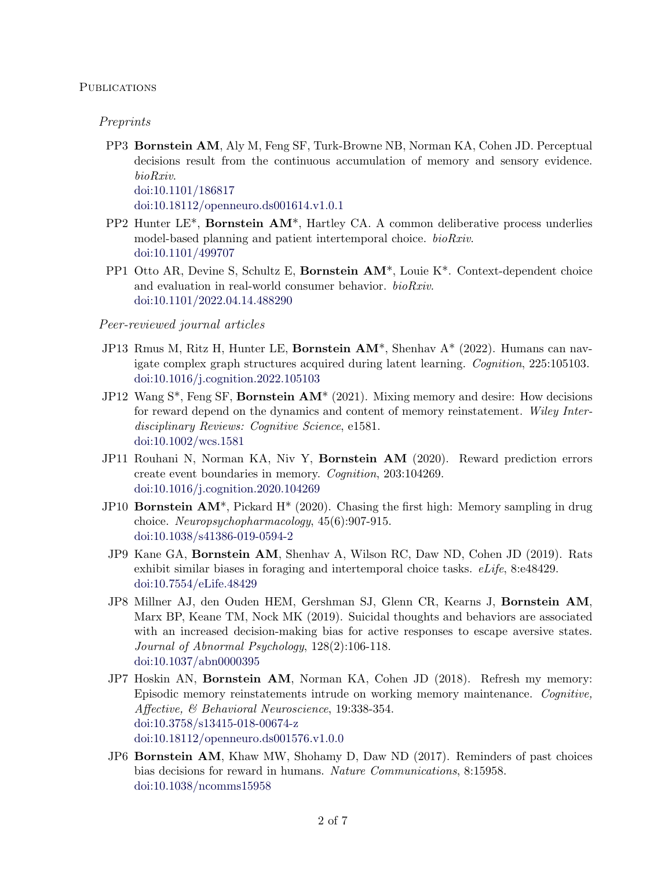### **PUBLICATIONS**

#### Preprints

PP3 Bornstein AM, Aly M, Feng SF, Turk-Browne NB, Norman KA, Cohen JD. Perceptual decisions result from the continuous accumulation of memory and sensory evidence. bioRxiv.

[doi:10.1101/186817](https://dx.doi.org/10.1101/186817)

[doi:10.18112/openneuro.ds001614.v1.0.1](https://dx.doi.org/10.18112/openneuro.ds001614.v1.0.1)

- PP2 Hunter LE\*, Bornstein AM\*, Hartley CA. A common deliberative process underlies model-based planning and patient intertemporal choice. bioRxiv. [doi:10.1101/499707](https://dx.doi.org/10.1101/499707)
- PP1 Otto AR, Devine S, Schultz E, Bornstein AM\*, Louie K\*. Context-dependent choice and evaluation in real-world consumer behavior. bioRxiv. [doi:10.1101/2022.04.14.488290](https://doi.org/10.1101/2022.04.14.488290)

#### Peer-reviewed journal articles

- JP13 Rmus M, Ritz H, Hunter LE, Bornstein AM\*, Shenhav A\* (2022). Humans can navigate complex graph structures acquired during latent learning. Cognition, 225:105103. [doi:10.1016/j.cognition.2022.105103](https://doi.org/10.1016/j.cognition.2022.105103)
- JP12 Wang  $S^*$ , Feng SF, **Bornstein AM**<sup>\*</sup> (2021). Mixing memory and desire: How decisions for reward depend on the dynamics and content of memory reinstatement. Wiley Interdisciplinary Reviews: Cognitive Science, e1581. [doi:10.1002/wcs.1581](https://doi.org/10.1002/wcs.1581)
- JP11 Rouhani N, Norman KA, Niv Y, Bornstein AM (2020). Reward prediction errors create event boundaries in memory. Cognition, 203:104269. [doi:10.1016/j.cognition.2020.104269](https://doi.org/10.1016/j.cognition.2020.104269)
- JP10 **Bornstein AM**<sup>\*</sup>, Pickard H<sup>\*</sup> (2020). Chasing the first high: Memory sampling in drug choice. Neuropsychopharmacology, 45(6):907-915. [doi:10.1038/s41386-019-0594-2](https://dx.doi.org/10.1038/s41386-019-0594-2)
- JP9 Kane GA, Bornstein AM, Shenhav A, Wilson RC, Daw ND, Cohen JD (2019). Rats exhibit similar biases in foraging and intertemporal choice tasks. eLife, 8:e48429. [doi:10.7554/eLife.48429](https://dx.doi.org/10.7554/eLife.48429)
- JP8 Millner AJ, den Ouden HEM, Gershman SJ, Glenn CR, Kearns J, Bornstein AM, Marx BP, Keane TM, Nock MK (2019). Suicidal thoughts and behaviors are associated with an increased decision-making bias for active responses to escape aversive states. Journal of Abnormal Psychology, 128(2):106-118. [doi:10.1037/abn0000395](https://dx.doi.org/10.1037/abn0000395)
- JP7 Hoskin AN, Bornstein AM, Norman KA, Cohen JD (2018). Refresh my memory: Episodic memory reinstatements intrude on working memory maintenance. Cognitive, Affective, & Behavioral Neuroscience, 19:338-354. [doi:10.3758/s13415-018-00674-z](https://dx.doi.org/10.3758/s13415-018-00674-z) [doi:10.18112/openneuro.ds001576.v1.0.0](https://openneuro.org/datasets/ds001576/versions/1.0.0)
- JP6 Bornstein AM, Khaw MW, Shohamy D, Daw ND (2017). Reminders of past choices bias decisions for reward in humans. Nature Communications, 8:15958. [doi:10.1038/ncomms15958](https://dx.doi.org/10.1038/ncomms15958)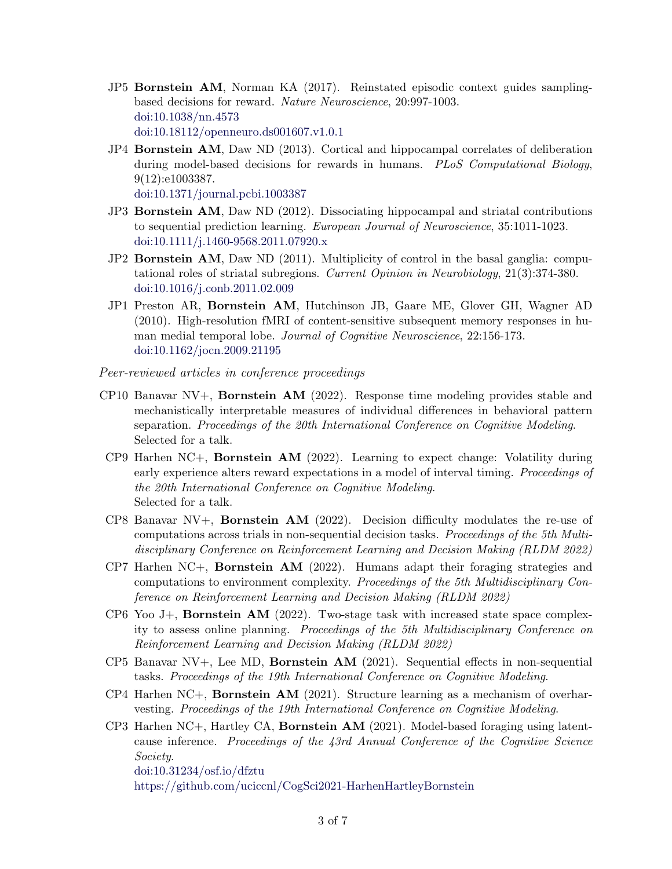- JP5 Bornstein AM, Norman KA (2017). Reinstated episodic context guides samplingbased decisions for reward. Nature Neuroscience, 20:997-1003. [doi:10.1038/nn.4573](https://dx.doi.org/10.1038/nn.4573) [doi:10.18112/openneuro.ds001607.v1.0.1](https://dx.doi.org/10.18112/openneuro.ds001607.v1.0.1)
- JP4 Bornstein AM, Daw ND (2013). Cortical and hippocampal correlates of deliberation during model-based decisions for rewards in humans. PLoS Computational Biology, 9(12):e1003387.

[doi:10.1371/journal.pcbi.1003387](https://dx.doi.org/10.1371/journal.pcbi.1003387)

- JP3 Bornstein AM, Daw ND (2012). Dissociating hippocampal and striatal contributions to sequential prediction learning. European Journal of Neuroscience, 35:1011-1023. [doi:10.1111/j.1460-9568.2011.07920.x](https://dx.doi.org/10.1111/j.1460-9568.2011.07920.x)
- JP2 Bornstein AM, Daw ND (2011). Multiplicity of control in the basal ganglia: computational roles of striatal subregions. Current Opinion in Neurobiology, 21(3):374-380. [doi:10.1016/j.conb.2011.02.009](https://dx.doi.org/10.1016/j.conb.2011.02.009)
- JP1 Preston AR, Bornstein AM, Hutchinson JB, Gaare ME, Glover GH, Wagner AD (2010). High-resolution fMRI of content-sensitive subsequent memory responses in human medial temporal lobe. *Journal of Cognitive Neuroscience*, 22:156-173. [doi:10.1162/jocn.2009.21195](https://dx.doi.org/10.1162/jocn.2009.21195)

Peer-reviewed articles in conference proceedings

- CP10 Banavar NV+, Bornstein AM (2022). Response time modeling provides stable and mechanistically interpretable measures of individual differences in behavioral pattern separation. Proceedings of the 20th International Conference on Cognitive Modeling. Selected for a talk.
- $CP9$  Harhen NC+, **Bornstein AM** (2022). Learning to expect change: Volatility during early experience alters reward expectations in a model of interval timing. *Proceedings of* the 20th International Conference on Cognitive Modeling. Selected for a talk.
- CP8 Banavar NV+, **Bornstein AM** (2022). Decision difficulty modulates the re-use of computations across trials in non-sequential decision tasks. Proceedings of the 5th Multidisciplinary Conference on Reinforcement Learning and Decision Making (RLDM 2022)
- CP7 Harhen NC+, Bornstein AM (2022). Humans adapt their foraging strategies and computations to environment complexity. Proceedings of the 5th Multidisciplinary Conference on Reinforcement Learning and Decision Making (RLDM 2022)
- CP6 Yoo J+, **Bornstein AM** (2022). Two-stage task with increased state space complexity to assess online planning. Proceedings of the 5th Multidisciplinary Conference on Reinforcement Learning and Decision Making (RLDM 2022)
- $CP5$  Banavar NV $+$ , Lee MD, **Bornstein AM** (2021). Sequential effects in non-sequential tasks. Proceedings of the 19th International Conference on Cognitive Modeling.
- $CP4$  Harhen NC+, **Bornstein AM** (2021). Structure learning as a mechanism of overharvesting. Proceedings of the 19th International Conference on Cognitive Modeling.
- $CP3$  Harhen NC+, Hartley CA, **Bornstein AM** (2021). Model-based foraging using latentcause inference. Proceedings of the 43rd Annual Conference of the Cognitive Science Society. [doi:10.31234/osf.io/dfztu](https://dx.doi.org/10.31234/osf.io/dfztu) <https://github.com/uciccnl/CogSci2021-HarhenHartleyBornstein>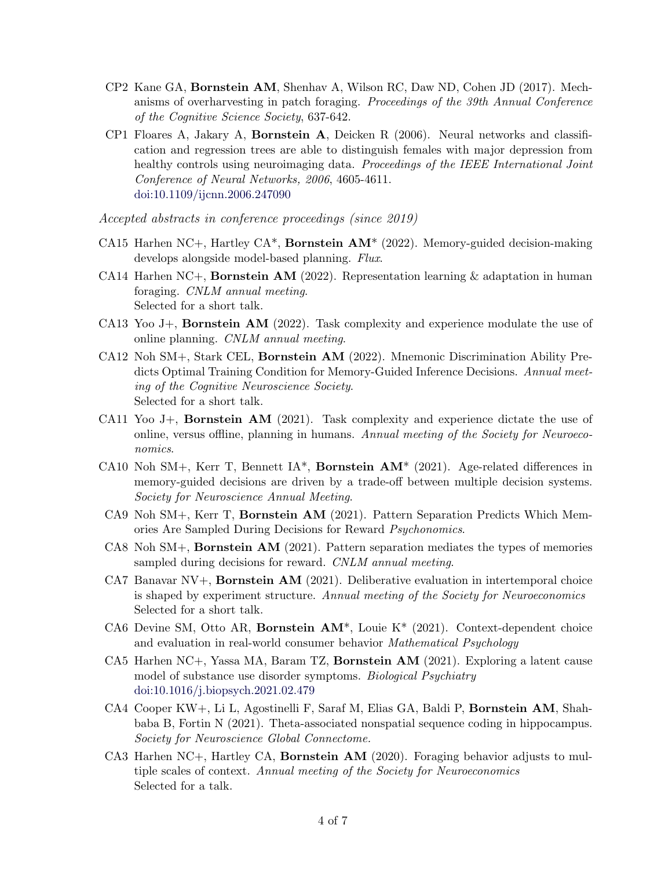- CP2 Kane GA, Bornstein AM, Shenhav A, Wilson RC, Daw ND, Cohen JD (2017). Mechanisms of overharvesting in patch foraging. Proceedings of the 39th Annual Conference of the Cognitive Science Society, 637-642.
- CP1 Floares A, Jakary A, Bornstein A, Deicken R (2006). Neural networks and classification and regression trees are able to distinguish females with major depression from healthy controls using neuroimaging data. Proceedings of the IEEE International Joint Conference of Neural Networks, 2006, 4605-4611. [doi:10.1109/ijcnn.2006.247090](https://dx.doi.org/10.1109/ijcnn.2006.247090)

Accepted abstracts in conference proceedings (since 2019)

- CA15 Harhen NC+, Hartley CA<sup>\*</sup>, **Bornstein AM**<sup>\*</sup> (2022). Memory-guided decision-making develops alongside model-based planning. Flux.
- CA14 Harhen NC+, **Bornstein AM** (2022). Representation learning & adaptation in human foraging. CNLM annual meeting. Selected for a short talk.
- CA13 Yoo J $+$ , **Bornstein AM** (2022). Task complexity and experience modulate the use of online planning. CNLM annual meeting.
- CA12 Noh SM+, Stark CEL, Bornstein AM (2022). Mnemonic Discrimination Ability Predicts Optimal Training Condition for Memory-Guided Inference Decisions. Annual meeting of the Cognitive Neuroscience Society. Selected for a short talk.
- CA11 Yoo J+, **Bornstein AM** (2021). Task complexity and experience dictate the use of online, versus offline, planning in humans. Annual meeting of the Society for Neuroeconomics.
- CA10 Noh SM+, Kerr T, Bennett IA<sup>\*</sup>, **Bornstein AM**<sup>\*</sup> (2021). Age-related differences in memory-guided decisions are driven by a trade-off between multiple decision systems. Society for Neuroscience Annual Meeting.
- CA9 Noh SM+, Kerr T, Bornstein AM (2021). Pattern Separation Predicts Which Memories Are Sampled During Decisions for Reward Psychonomics.
- CA8 Noh SM+, Bornstein AM (2021). Pattern separation mediates the types of memories sampled during decisions for reward. CNLM annual meeting.
- CA7 Banavar NV $+$ , **Bornstein AM** (2021). Deliberative evaluation in intertemporal choice is shaped by experiment structure. Annual meeting of the Society for Neuroeconomics Selected for a short talk.
- CA6 Devine SM, Otto AR, Bornstein AM\*, Louie K\* (2021). Context-dependent choice and evaluation in real-world consumer behavior Mathematical Psychology
- CA5 Harhen NC+, Yassa MA, Baram TZ, Bornstein AM (2021). Exploring a latent cause model of substance use disorder symptoms. Biological Psychiatry [doi:10.1016/j.biopsych.2021.02.479](https://dx.doi.org/10.1016/j.biopsych.2021.02.479)
- CA4 Cooper KW+, Li L, Agostinelli F, Saraf M, Elias GA, Baldi P, Bornstein AM, Shahbaba B, Fortin N (2021). Theta-associated nonspatial sequence coding in hippocampus. Society for Neuroscience Global Connectome.
- CA3 Harhen NC+, Hartley CA, Bornstein AM (2020). Foraging behavior adjusts to multiple scales of context. Annual meeting of the Society for Neuroeconomics Selected for a talk.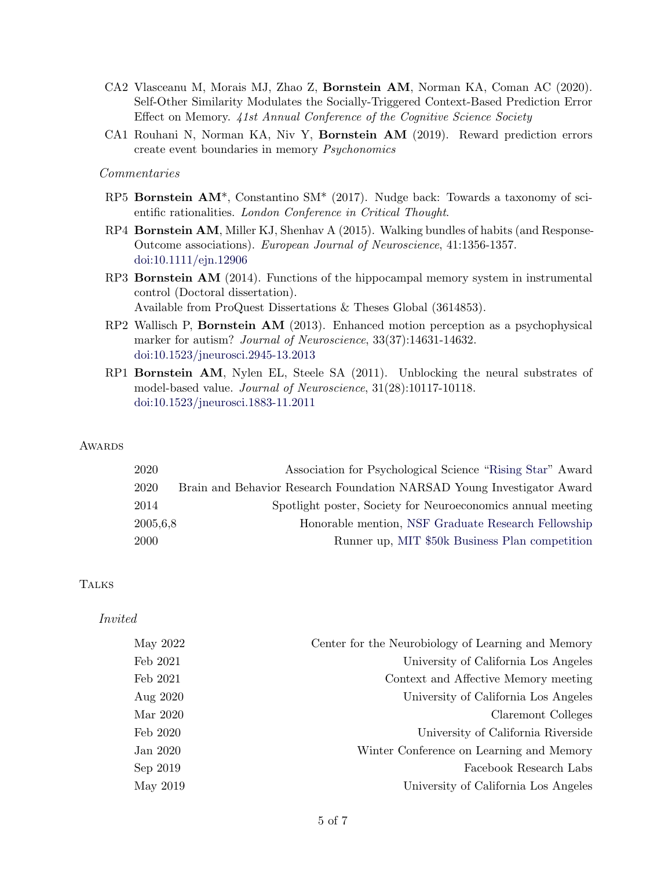- CA2 Vlasceanu M, Morais MJ, Zhao Z, Bornstein AM, Norman KA, Coman AC (2020). Self-Other Similarity Modulates the Socially-Triggered Context-Based Prediction Error Effect on Memory. 41st Annual Conference of the Cognitive Science Society
- CA1 Rouhani N, Norman KA, Niv Y, Bornstein AM (2019). Reward prediction errors create event boundaries in memory Psychonomics

### Commentaries

- RP5 Bornstein AM\*, Constantino SM\* (2017). Nudge back: Towards a taxonomy of scientific rationalities. London Conference in Critical Thought.
- RP4 Bornstein AM, Miller KJ, Shenhav A (2015). Walking bundles of habits (and Response-Outcome associations). European Journal of Neuroscience, 41:1356-1357. [doi:10.1111/ejn.12906](https://dx.doi.org/10.1111/ejn.12906)
- RP3 Bornstein AM (2014). Functions of the hippocampal memory system in instrumental control (Doctoral dissertation). Available from ProQuest Dissertations & Theses Global (3614853).
- RP2 Wallisch P, Bornstein AM (2013). Enhanced motion perception as a psychophysical marker for autism? Journal of Neuroscience, 33(37):14631-14632. [doi:10.1523/jneurosci.2945-13.2013](https://dx.doi.org/10.1523/jneurosci.2945-13.2013)
- RP1 Bornstein AM, Nylen EL, Steele SA (2011). Unblocking the neural substrates of model-based value. *Journal of Neuroscience*,  $31(28):10117-10118$ . [doi:10.1523/jneurosci.1883-11.2011](https://dx.doi.org/10.1523/jneurosci.1883-11.2011)

#### **AWARDS**

| 2020     | Association for Psychological Science "Rising Star" Award              |
|----------|------------------------------------------------------------------------|
| 2020     | Brain and Behavior Research Foundation NARSAD Young Investigator Award |
| 2014     | Spotlight poster, Society for Neuroeconomics annual meeting            |
| 2005,6,8 | Honorable mention, NSF Graduate Research Fellowship                    |
| 2000     | Runner up, MIT \$50k Business Plan competition                         |

#### **TALKS**

#### Invited

| May 2022 | Center for the Neurobiology of Learning and Memory |
|----------|----------------------------------------------------|
| Feb 2021 | University of California Los Angeles               |
| Feb 2021 | Context and Affective Memory meeting               |
| Aug 2020 | University of California Los Angeles               |
| Mar 2020 | Claremont Colleges                                 |
| Feb 2020 | University of California Riverside                 |
| Jan 2020 | Winter Conference on Learning and Memory           |
| Sep 2019 | Facebook Research Labs                             |
| May 2019 | University of California Los Angeles               |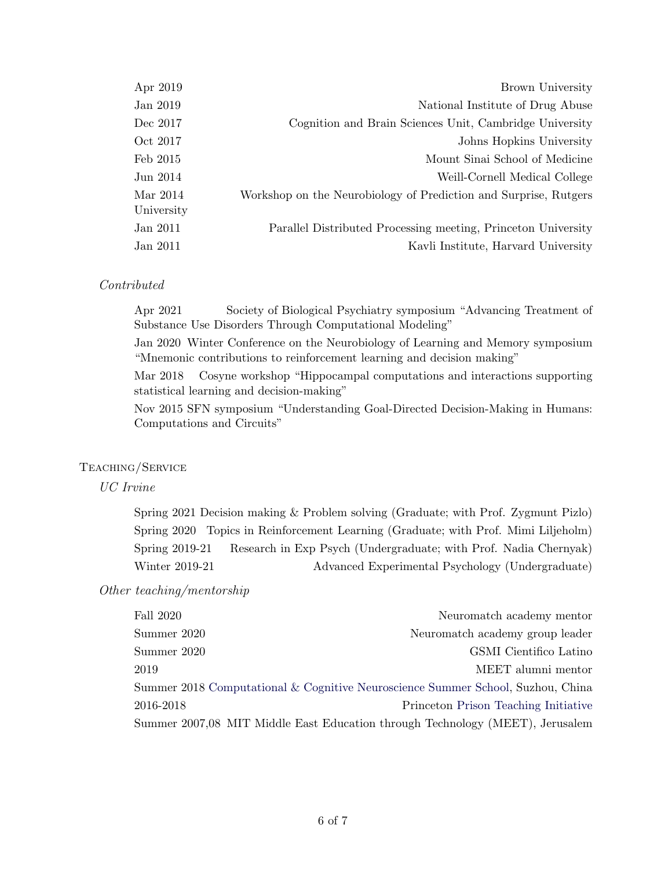| Apr 2019               | Brown University                                                 |
|------------------------|------------------------------------------------------------------|
| Jan 2019               | National Institute of Drug Abuse                                 |
| Dec 2017               | Cognition and Brain Sciences Unit, Cambridge University          |
| Oct 2017               | Johns Hopkins University                                         |
| Feb 2015               | Mount Sinai School of Medicine                                   |
| Jun 2014               | Weill-Cornell Medical College                                    |
| Mar 2014<br>University | Workshop on the Neurobiology of Prediction and Surprise, Rutgers |
| Jan 2011               | Parallel Distributed Processing meeting, Princeton University    |
| Jan 2011               | Kavli Institute, Harvard University                              |
|                        |                                                                  |

# Contributed

Apr 2021 Society of Biological Psychiatry symposium "Advancing Treatment of Substance Use Disorders Through Computational Modeling"

Jan 2020 Winter Conference on the Neurobiology of Learning and Memory symposium "Mnemonic contributions to reinforcement learning and decision making"

Mar 2018 Cosyne workshop "Hippocampal computations and interactions supporting statistical learning and decision-making"

Nov 2015 SFN symposium "Understanding Goal-Directed Decision-Making in Humans: Computations and Circuits"

# Teaching/Service

## UC Irvine

Spring 2021 Decision making & Problem solving (Graduate; with Prof. Zygmunt Pizlo) Spring 2020 Topics in Reinforcement Learning (Graduate; with Prof. Mimi Liljeholm) Spring 2019-21 Research in Exp Psych (Undergraduate; with Prof. Nadia Chernyak) Winter 2019-21 Advanced Experimental Psychology (Undergraduate)

## Other teaching/mentorship

| Fall 2020   | Neuromatch academy mentor                                                       |
|-------------|---------------------------------------------------------------------------------|
| Summer 2020 | Neuromatch academy group leader                                                 |
| Summer 2020 | GSMI Cientifico Latino                                                          |
| 2019        | MEET alumni mentor                                                              |
|             | Summer 2018 Computational & Cognitive Neuroscience Summer School, Suzhou, China |
| 2016-2018   | Princeton Prison Teaching Initiative                                            |
|             | Summer 2007,08 MIT Middle East Education through Technology (MEET), Jerusalem   |